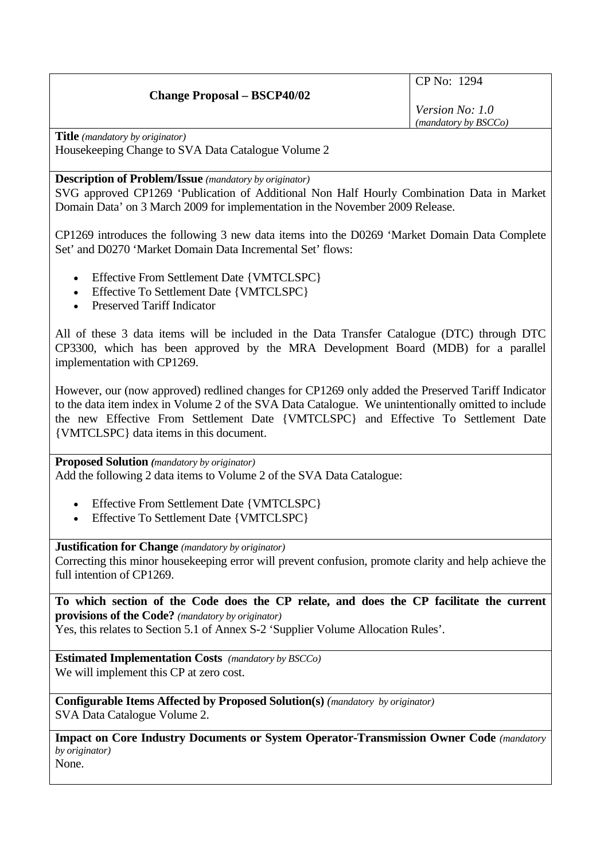## **Change Proposal – BSCP40/02**

CP No: 1294

*Version No: 1.0 (mandatory by BSCCo)*

**Title** *(mandatory by originator)*  Housekeeping Change to SVA Data Catalogue Volume 2

**Description of Problem/Issue** *(mandatory by originator)* 

SVG approved CP1269 'Publication of Additional Non Half Hourly Combination Data in Market Domain Data' on 3 March 2009 for implementation in the November 2009 Release.

CP1269 introduces the following 3 new data items into the D0269 'Market Domain Data Complete Set' and D0270 'Market Domain Data Incremental Set' flows:

- Effective From Settlement Date {VMTCLSPC}
- Effective To Settlement Date {VMTCLSPC}
- Preserved Tariff Indicator

All of these 3 data items will be included in the Data Transfer Catalogue (DTC) through DTC CP3300, which has been approved by the MRA Development Board (MDB) for a parallel implementation with CP1269.

However, our (now approved) redlined changes for CP1269 only added the Preserved Tariff Indicator to the data item index in Volume 2 of the SVA Data Catalogue. We unintentionally omitted to include the new Effective From Settlement Date {VMTCLSPC} and Effective To Settlement Date {VMTCLSPC} data items in this document.

**Proposed Solution** *(mandatory by originator)*  Add the following 2 data items to Volume 2 of the SVA Data Catalogue:

- Effective From Settlement Date {VMTCLSPC}
- Effective To Settlement Date {VMTCLSPC}

**Justification for Change** *(mandatory by originator)* 

Correcting this minor housekeeping error will prevent confusion, promote clarity and help achieve the full intention of CP1269.

**To which section of the Code does the CP relate, and does the CP facilitate the current provisions of the Code?** *(mandatory by originator)*  Yes, this relates to Section 5.1 of Annex S-2 'Supplier Volume Allocation Rules'.

**Estimated Implementation Costs** *(mandatory by BSCCo)*  We will implement this CP at zero cost.

**Configurable Items Affected by Proposed Solution(s)** *(mandatory by originator)*  SVA Data Catalogue Volume 2.

**Impact on Core Industry Documents or System Operator-Transmission Owner Code** *(mandatory by originator)*  None.